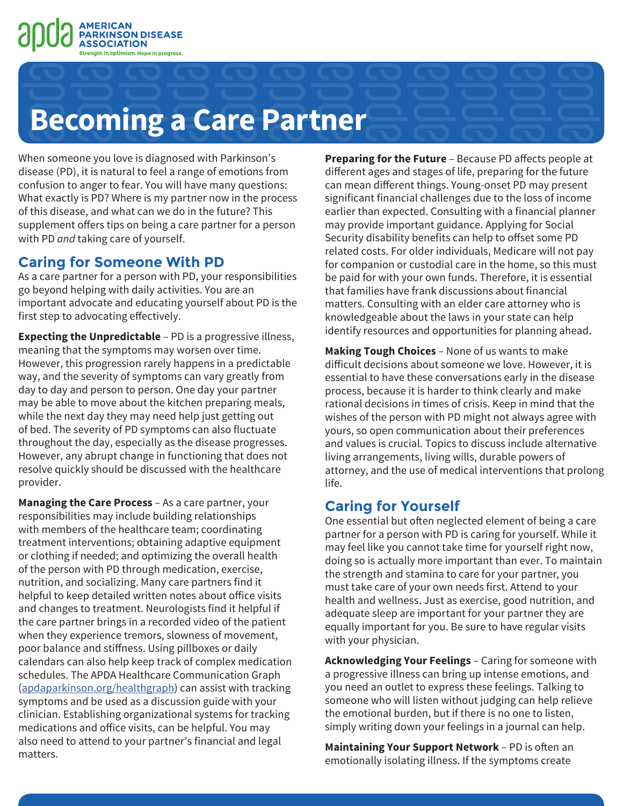

## **Becoming a Care Partner**

When someone you love is diagnosed with Parkinson's disease (PD), it is natural to feel a range of emotions from confusion to anger to fear. You will have many questions: What exactly is PD? Where is my partner now in the process of this disease, and what can we do in the future? This supplement offers tips on being a care partner for a person with PD *and* taking care of yourself.

### **Caring for Someone With PD**

As a care partner for a person with PD, your responsibilities go beyond helping with daily activities. You are an important advocate and educating yourself about PD is the first step to advocating effectively.

**Expecting the Unpredictable** – PD is a progressive illness, meaning that the symptoms may worsen over time. However, this progression rarely happens in a predictable way, and the severity of symptoms can vary greatly from day to day and person to person. One day your partner may be able to move about the kitchen preparing meals, while the next day they may need help just getting out of bed. The severity of PD symptoms can also fluctuate throughout the day, especially as the disease progresses. However, any abrupt change in functioning that does not resolve quickly should be discussed with the healthcare provider.

**Managing the Care Process** – As a care partner, your responsibilities may include building relationships with members of the healthcare team; coordinating treatment interventions; obtaining adaptive equipment or clothing if needed; and optimizing the overall health of the person with PD through medication, exercise, nutrition, and socializing. Many care partners find it helpful to keep detailed written notes about office visits and changes to treatment. Neurologists find it helpful if the care partner brings in a recorded video of the patient when they experience tremors, slowness of movement, poor balance and stiffness. Using pillboxes or daily calendars can also help keep track of complex medication schedules. The APDA Healthcare Communication Graph [\(apdaparkinson.org/healthgraph](http://www.apdaparkinson.org/healthgraph)) can assist with tracking symptoms and be used as a discussion guide with your clinician. Establishing organizational systems for tracking medications and office visits, can be helpful. You may also need to attend to your partner's financial and legal matters.

**Preparing for the Future** – Because PD affects people at different ages and stages of life, preparing for the future can mean different things. Young-onset PD may present significant financial challenges due to the loss of income earlier than expected. Consulting with a financial planner may provide important guidance. Applying for Social Security disability benefits can help to offset some PD related costs. For older individuals, Medicare will not pay for companion or custodial care in the home, so this must be paid for with your own funds. Therefore, it is essential that families have frank discussions about financial matters. Consulting with an elder care attorney who is knowledgeable about the laws in your state can help identify resources and opportunities for planning ahead.

**Making Tough Choices** – None of us wants to make difficult decisions about someone we love. However, it is essential to have these conversations early in the disease process, because it is harder to think clearly and make rational decisions in times of crisis. Keep in mind that the wishes of the person with PD might not always agree with yours, so open communication about their preferences and values is crucial. Topics to discuss include alternative living arrangements, living wills, durable powers of attorney, and the use of medical interventions that prolong life.

## **Caring for Yourself**

One essential but often neglected element of being a care partner for a person with PD is caring for yourself. While it may feel like you cannot take time for yourself right now, doing so is actually more important than ever. To maintain the strength and stamina to care for your partner, you must take care of your own needs first. Attend to your health and wellness. Just as exercise, good nutrition, and adequate sleep are important for your partner they are equally important for you. Be sure to have regular visits with your physician.

**Acknowledging Your Feelings** – Caring for someone with a progressive illness can bring up intense emotions, and you need an outlet to express these feelings. Talking to someone who will listen without judging can help relieve the emotional burden, but if there is no one to listen, simply writing down your feelings in a journal can help.

**Maintaining Your Support Network** – PD is often an emotionally isolating illness. If the symptoms create